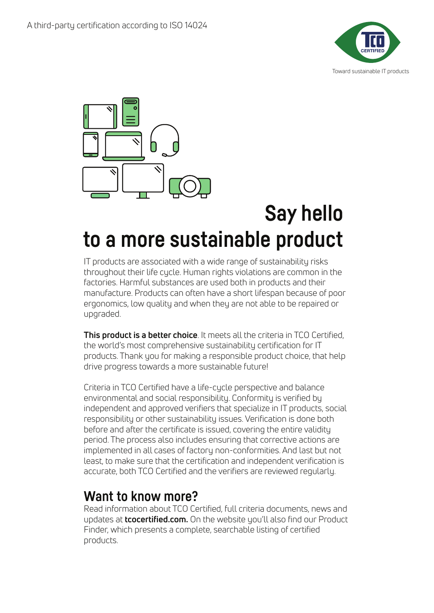



## **Say hello to a more sustainable product**

IT products are associated with a wide range of sustainability risks throughout their life cycle. Human rights violations are common in the factories. Harmful substances are used both in products and their manufacture. Products can often have a short lifespan because of poor ergonomics, low quality and when they are not able to be repaired or upgraded.

**This product is a better choice**. It meets all the criteria in TCO Certified, the world's most comprehensive sustainability certification for IT products. Thank you for making a responsible product choice, that help drive progress towards a more sustainable future!

Criteria in TCO Certified have a life-cycle perspective and balance environmental and social responsibility. Conformity is verified by independent and approved verifiers that specialize in IT products, social responsibility or other sustainability issues. Verification is done both before and after the certificate is issued, covering the entire validity period. The process also includes ensuring that corrective actions are implemented in all cases of factory non-conformities. And last but not least, to make sure that the certification and independent verification is accurate, both TCO Certified and the verifiers are reviewed regularly.

## **Want to know more?**

Read information about TCO Certified, full criteria documents, news and updates at **tcocertified.com.** On the website you'll also find our Product Finder, which presents a complete, searchable listing of certified products.